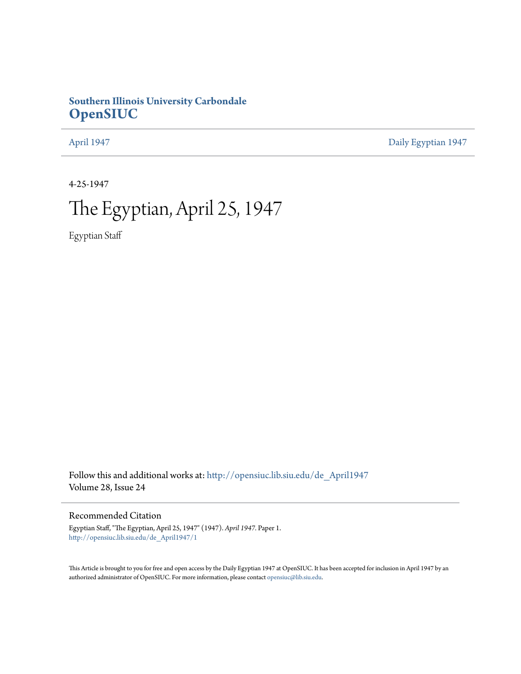## **Southern Illinois University Carbondale [OpenSIUC](http://opensiuc.lib.siu.edu?utm_source=opensiuc.lib.siu.edu%2Fde_April1947%2F1&utm_medium=PDF&utm_campaign=PDFCoverPages)**

[April 1947](http://opensiuc.lib.siu.edu/de_April1947?utm_source=opensiuc.lib.siu.edu%2Fde_April1947%2F1&utm_medium=PDF&utm_campaign=PDFCoverPages) [Daily Egyptian 1947](http://opensiuc.lib.siu.edu/de_1947?utm_source=opensiuc.lib.siu.edu%2Fde_April1947%2F1&utm_medium=PDF&utm_campaign=PDFCoverPages)

4-25-1947

# The Egyptian, April 25, 1947

Egyptian Staff

Follow this and additional works at: [http://opensiuc.lib.siu.edu/de\\_April1947](http://opensiuc.lib.siu.edu/de_April1947?utm_source=opensiuc.lib.siu.edu%2Fde_April1947%2F1&utm_medium=PDF&utm_campaign=PDFCoverPages) Volume 28, Issue 24

#### Recommended Citation

Egyptian Staff, "The Egyptian, April 25, 1947" (1947). *April 1947.* Paper 1. [http://opensiuc.lib.siu.edu/de\\_April1947/1](http://opensiuc.lib.siu.edu/de_April1947/1?utm_source=opensiuc.lib.siu.edu%2Fde_April1947%2F1&utm_medium=PDF&utm_campaign=PDFCoverPages)

This Article is brought to you for free and open access by the Daily Egyptian 1947 at OpenSIUC. It has been accepted for inclusion in April 1947 by an authorized administrator of OpenSIUC. For more information, please contact [opensiuc@lib.siu.edu](mailto:opensiuc@lib.siu.edu).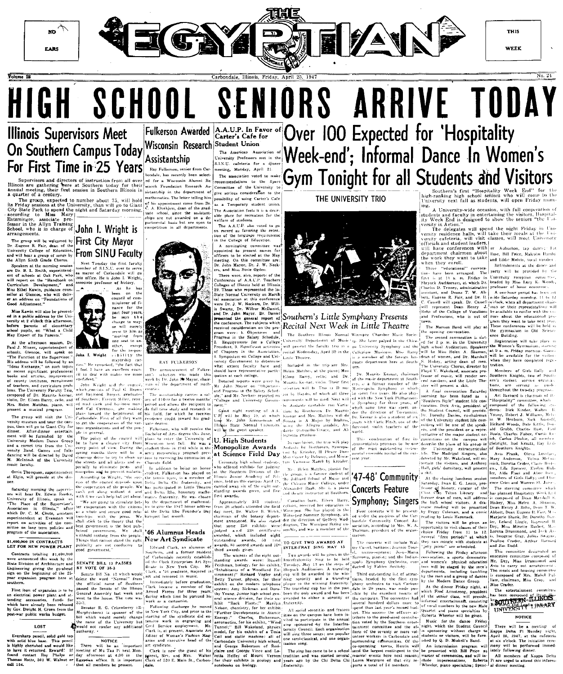

HIGH SCHOOL SENIORS ARRIVE TODAY Over 100 Expected for 'Hospitality **Illinois Supervisors Meet** A.A.U.P. In Favor of<br>Carter's Cafe for **Fulkerson Awarded** 

## On Southern Campus Today Wisconsin Research For First Time in 25 Years

ervis<mark>ors and dir</mark>ectors of instruction from all over<br>are gathering there at Southern today for their<br>neeting, their first session in Southern Illinois in

The group, expected to number about 75, will hold Friday sessions at the University, than will go to Giant y State Park to spend the night and Saturday morning, ording to Miss Mary  $\left|$ 

**From SINU Faculty** 

mayor of Carbondale

Next Tuesday the first faculty

He is John I

Wright

Next of history,<br>  $\begin{array}{ccc} \text{As} & \text{he} & \text{has} \\ \text{been} & \text{on} & \text{the} \\ \text{council of} & \text{com} \\ \text{missioner of} & \text{frame} \\ \text{name for} & \text{the} \\ \text{root} & \text{f} \end{array}$ 

nsvorshic marked, "the fact that

excellent co

Things that cannot stand the<br>publicity are not conduciv

....<br>Senator P. C. Criser

the name of the Universit

according to miss mary<br>Entsminger, associate pro-<br>fessor in the Allyn Training<br>School, who is in charge of **John I. Wright is First City Mayor** 

r. Eugene R. Fair, dean of th<br>niversity College of Education hear a group of songs by Allyn Sixth Grade Chorus

at the morning se B. L. Smith, superintend<br>schools at Oak Park, who on the "Handbook or n me<br>Develor  $\frac{1}{2}$ and m Development, and<br>d Kawin, guidance coun-<br>Glencoe, who will deliv-<br>dress on "Foundations of

he the Uni

enificant professiona Matthes, biano,

net trio from the Games and folk-

Elgin, will preside at the din

v of Illinois. suesk Superv 411inois<sup>1</sup> activities.<br>long term policies at government is the best put withhold nothing from the tienale

**000 IN CONTRACTS** NEW POWER PLANT

cts totalling \$1,400,000 SENATE BILL 13 PASSES<br>BY VOTE OF 35-3 sion of Architecture and ng giving the go-ahead Senate Rill No. 12

ectrical power plant and at accessories funds fo ady heen reles Dwight H. Green from th

LOST

.<br>Wersharn tengil, solid gold to: Hatts, 501 W

**Student Union** The American Association of **Week-end'**; Informal Dance In Women's S.I.N.U. cafeteria for a dinne meeting, Monday, April 21.

Ray Fulkerson, senior from C tula, has essently hear soleet. an Royageah, Ay

record as favoring the reter nominating committee

A.A.U.P. also

commendations to the Susce

serious consideration to th

sossibility of using Carter's Cafa Temporary student unio

The Augustine Coole is in a doctr

elected at the May

10<sub>ino</sub> hn Mayor. Dr. Danis the general report of

nce. The subjects whi Recital Next Week in Little Theatre Southern Hinois Normal Winniper Char Wadnadae

alculoud in the telephone Mass

State Normal be the euest speaker

enter the University of U. High Students Monopolize Awards

at Science Field Day University high school student-

exhibit:

which included eight

**Contractor** 

certifies

Southern Divi hold on this campas. Annd 19 concided sames six of the mathe

Helfer

babras

coment of Fulker

credit toward his grad

#### shall '46 Alumnus Heads New Art Syndicate

Edward Clark, an alumnus Carbondale recently establish d the Clark Enterprise Art Sv in New

szine art syndicate.

parent, Rev. and Mrs. W.<br>Clark of 520 E. Main St., Ca.

### THE UNIVERSITY TRIO

Southern's Little Symphony Presents

April 30 in the crathesia

and Dr. caller. Alloen

Concerts Feature

Community<br>, according to sociation, according to Mrs. W. A<br>Thalman, president of the organ izution.

'a>>e1, baritone.<br>niezzo->oprano: ony Orchestra, coi

Gym Tonight for all Students and Visitors A University-wide occasion, with full cooper

is and faculty in entertaining the visitors. Hospita Veek End is designed to show the seniors "the U. en Line<br>in Action

versity in ecton.<br>The delegates will spend the night Friday in University residence halls, will take their meals at the University carteria, will visit classes, will meet University carterial officials and student leaders. vill have conferences with

chairmen about Rose, Bill Price, work they want to take and Eddie Melvin, vocal numbe

party will be provided by the

Cassel usselt will speak. Dr. Henry the College of Vocation

nce Building

nick. Doretta Crider. ns. Lila

The storring committee

Alda Fiari

comp

Maroon Band will play at

 $_{\rm{enroll}}$ 

educations

Friday

in the University Auditorium. Speaker Marshall

ortmant

ciate pro throughout the

student life con

listors, and Anthony

history, curator of th

s can mingle with students at

tumblin

liss Crader dinner Friday night. s been composed of livering

six o'clock. The initiation cere nted with Bill Price as<br>f ceremonies, and will in-

eil he nerformed All members of Kapua erta Pi are urged to attend this

1947, at the cafeteria

chairman. Miss Gray.

UNIVERSITY IRRARY

'47-48' Community Symphony; Singers

ears ago by the Chi Delta *<u><u>fraternity</u>*</u></u>

This

re instructor at Souther

ducted by Fabien Sevitsky

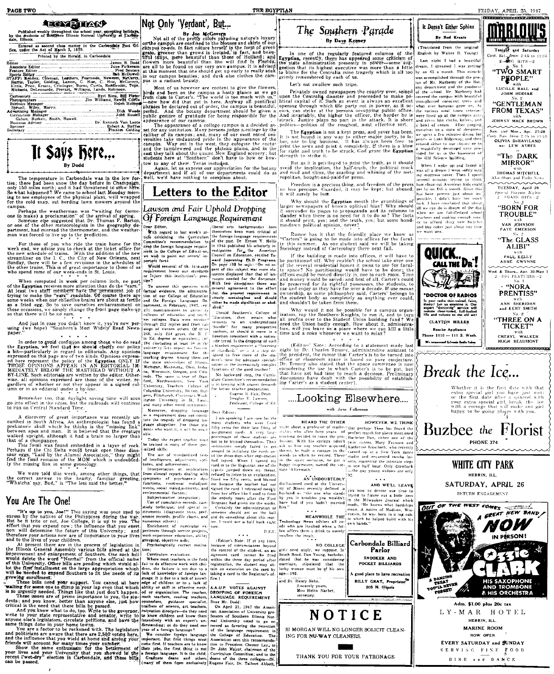#### Not Only 'Verdant', But... **LEEY STIAN!**

Published weekly throughout the school year, excepting holidays, the students of Southern Illinois Normal University at Carbon by the stude<br>dale. Illinois. Entered as second class matter in the Carbondale Post Office, under the Act of March 3, 1879.

Printed by the Herald, in Carbondale te Editor Associa.<br>Festure Cartoonists<br>
Photographers<br>
Business Memager<br>
Spruell, Wiley, Morris Byrl Sims, Bill Pleter<br>Jim Williams, Hewitt Curtis Dick Woods<br>John Russell Dr. Kenneth Van Lente<br>Robert A. Steffes<br>Frances Golding Sponsor<br>Secretary



The temperature in Carbondale was in the low for-<br>ties; there had been snow the day before in Champaign,<br>only 150 miles north; and it had threatened to strow here:<br>So what happened? We came to school last Monday morning to see employees of the physical plant, well wrapped<br>for the cold snap, out herding lawn mowers around the

For the content was "waiting for (some-<br>campus.<br>Tempus the weatherman was "waiting for (some-<br>one to make) a proclamation" of the arrival of spring.<br>Someone the suggested that Dr. Thomas F. Barton,<br>or one of the other mete

For those of you who ride the train home for the week end, we advise you to check at the ticket office for the new schedule of trains. With the addition of the new streamliner on the 1. C, the City of New Orleans, next th

The other trans. I may be well as the second of the control of the control of the **Eyptian** receives more attention than do the "ears." To answer this question with the **Eyptian** receives more attention than do the "ears.

So the security of the control of the control of the control of the control of the control of the control of the control of the control of the paper. The control of the paper."<br>
paper." Southern's Most Widely Read News las

In order to avoid confusion among those who do read in Ed. degree or equivalent; in the Egyptian, we feel that if we should chattly our policy is (including at east 2*b*) in a a bit—particularly in regard to editorials. A

Remember too, that daylight saving time will soon<br>go into effect in the cities, but the railroads will continue<br>to run on Central Standard Time.

to run on Central community cross-<br>community control of the action of the discovery of great importance was recently under<br>perimeters and which the thinks is the "musing limit"<br>between a pes and man. It is believed that t

We were told this week, among other things, that<br>the correct answer to the hearty, familiar greeting,<br>"Whatcha' say, Bud," is "The less said the better."

#### You Are The One!

**YOU ATE The One!**  $\frac{1}{2}$  is a spin and the set of the best distribution interaction in the set of the best distribution of the set of the set of the set of the set of the set of the set of the set of the set of the pr

For the campus are contributed by the CONNECT CASE.<br>
Not all of the prefty colors as a contributed by the campus co-eds. In fact nature herealt in the form of green grass, green than grows in length of the form of the prin

MeGaverni, puss in a radiant beauty.<br>  $\frac{1}{2}$  and  $\frac{1}{2}$  and  $\frac{1}{2}$  and  $\frac{1}{2}$  and  $\frac{1}{2}$  and  $\frac{1}{2}$  and  $\frac{1}{2}$  and  $\frac{1}{2}$  and  $\frac{1}{2}$  and  $\frac{1}{2}$  and  $\frac{1}{2}$  and  $\frac{1}{2}$  and  $\frac{1}{2}$  and

appearance of our campus is a decided as-<br>set for any institution. Many persons judge a. ordege by the calibre of its campus; and, many of our nost noted universities take undanned pride in the appearance of the version c

statement and if all of our last to love of how-<br>tow to any of them. Texas included.<br>Again, let us express our appreciation for the botany<br>department and if all of our departments could do as<br>well, we'd have nothing to com

## Letters to the Editor

#### Lawson and Fair Uphold Dropping Of Foreign Language Requirement

Dear Editor, Walter and the second the committee's the committee's and the committee's and the committee's second the committee's committee's committee's recommendation to joint the pass. Dr. Elinies of the commentation to commutes recommutation in the foreign language require<br>ment in the College of Education<br>we wish to point out several important facts. vestigation for the American<br>Council on Education, entitled To

Council on Education, estilled To-<br>
ward Improving Ph.D. Programs.<br>
On page 130 he says: "On nó as-<br>
peet of this subject was more elo-<br>
quages needed for the dottrate.<br>
Tuages needed for the dottrate.<br>
With few exception Would removal of the language

that the present requirement is<br>utterly meaningless and should<br>sither be made significant or abolshed."

lirection consistent with a nation Michigan, Minnesota, Ohio, India.<br>1961, India.<br>1961, The same is true of Stan.<br>1961, The same is true of Stan.<br>1961, Northwestern, New York<br>Columbia University, Colley of Columbia University, Bacton, Richards, Columbia Uni

Moreover, dropping language<br>as a requirement does not consti-Dear Editor as a requirement does not constitute the tragedy of dropping land<br>guage altogether. For those students who want it, it will be available.

Today the expert teacher nurbe trained in many of these spec alized skills:

anized skills:<br>The use of standardized tests<br>of intelligence, adjustment, apti-<br>tudes, and achievement; ....<br>implications Interpretation of

Subject-matter integration;<br>Use of cumulative records, case-

The Southern Parade By Daye Kenney

In one of the regularly featured columns of the Egyptian, recently, there has appeared some criticism of the the state administration presently in power-some suggestion that its highest executive was more than a little to

Let's not swallow such tripe.

THE EGYPTIAN

Fivately owned newspapers the country over, seized of the school. Mr. Marberry had upon the Centrality disaster and proceeded to make po- covered the campus with broutiful disaster and the person of the campus of expectiv

politics.—politics of the roughlest, most ellectric sort.<br>
The Egyptian is not a kept press, and never has been.  $\frac{\text{div} \times \text{div} \times \text{div}}{\text{div} \times \text{div} \times \text{div} \times \text{div} \times \text{div} \times \text{div} \times \text{div} \times \text{div} \times \text{div} \times \text{div} \times \text{div} \times \text{div} \times \text{$ 

But as it is privileged to print the truth, so it should<br>aveid the implication, the half-truth, the political muck<br>and mud and slime, the snarling and whining of the met-<br>ropolitan, bought-and-paid-for press.

Freedom is a precious thing, and freedom of the press<br>no less precious, Guarded, it may be kept; but abused,<br>it will surely be lost.

From the Egyptian mouth the grumblings of larger newspapers of known oplitical bias? Why should the expansion of the same of  $\alpha$  is surrender its pages to propaganda and its columns to stander when there is no need for i

Rumor has it that the friendly place we know as<br>"Carters" is going to be made into offices for the facul-<br>It this summer. As one student said we will be taking<br>Sociology instead of Carterology there next fall.

Browns in the building is made into offices, it will have to the partitional of I. Why couldn't the school take over one of the everal residential homes it own to use for faculty by space? No partitioning would have to be use and enjoy as they have for our or a decade. If use means<br>ownership, as some philosopher said, Carters' belongs to<br>the student body as completely as anything ever could,<br>and shouldn't be taken from them.

And someoned the possible for a campus organization of the possible for a campus organization, say the Southern Kinghts, to run it, and to turn and all profits over to the Student Union building fund? We need the Union ba shed."<br>
Chould Southern's College of<br>
Chouch then retain what<br>
involuts to an undergraduate<br>
thardle" for many prospective<br>
eachers, or should it move in a  $\frac{1}{2}$   $\frac{1}{2}$   $\frac{1}{2}$   $\frac{1}{2}$   $\frac{1}{2}$   $\frac{1}{2}$   $\frac{1}{2}$   $\frac{1}{2}$ 

received a summary with a such<br>ride trend. Is the dropping of such<br>a blanket requirement a "lowering ide trend, is the dropping of such<br>  $\frac{1}{2}$  is the statement and lead to the statement and closed of statement and closed of statement and control of statement of the statement of the statement of the statement of the s No hackward step, the Curric-<br>ulum Committee's recommendation<br>is in keeping with urgent demands<br>for better teacher preparation.

....Looking Elsewhere....

with June Fulkerson

Sincerely yours,<br>Miss Helen Narber,

.....<br>×ecretary

AN UNDOUBTEDLY AND WELL LEAVE IN THE REAL PROPERTY IS A SURFAINTED IN THE RANGE IN THE RANGE IN THE RANGE IN THE RANGE IN THE RANGE IN THE RANGE IN THE RANGE IN THE RANGE IN THE RANGE IN THE RANGE IN THE RANGE IN THE RANG

Carbondale Billiard NO COLLEGE Parlor

> SNOOKER AND **POCKET BILLIARDS** good place to have recreation BILLY GRAY, Proprietor<sup>X\*</sup> 205 N. Illipois

NOTICE

SI MORGAN WILL NO LONGER SOLICIT CLEAN-ING FOR NU-WAY CLEANERS.



FRIDAY, APRIL 25, 1947 <u>MARLOW'S</u> It Doesn't Either Sphinx **By Rod Krastz** 

(Translated from the original Tonight and Saturday English by Walter B. Young) Cont Sa Last night I had a beautiful

When I woke up and found it

When I wide up and found it when the way matters cover. Then I aperture cover it is considered as several minutes trying to this how cleared American bisks could be the particle of the particle of the particle bisks of th

all we can do is dream of the day

when we are full-fledged school

ey to afford shiny new bicycle<br>and buy cokes just about any time

QUICK..<br>Call the Dr !

**DOCTOR OF RADIOS** 

we want one.

 $\frac{6}{3}$  HITS $-2$ <br>No. 1 dream. I dreamed I was getting "TWO SMART hy on 65 a month. This miracle PEOPLE" was accomplished through the gen-

was accompussed involved in the problem<br>in of Mr. Marberry of the Bot-<br>any department and the goodness<br>of the school. Mr. Marberry had<br>govered the campus with beautiful<br>transplanted cocoanut trees and LUCILLE BALL and<br>JOHN HODIAK "GENTLEMAN **FROM TEXAS"** 

> JOHNNY MACK BROWN  $\widetilde{\phantom{a}}$

Sun. and Mon., Apr. 27-28<br>"not. Sun. from 2:15 to 11:1. **OLIVIA D-HAVILAND** an LEW AYRES

"The DARK MIRROR' with<br>THOMAS MITCHELL<br>so Short and Pathe New

TUESDAY, April 29

spectral Bangain N.<br>2 - SMASH HITS "BORN FOR **TROUBLE"** 

> VAN JOHNSON<br>FAYE EMERSON  $"The **GLASS**$

ALIBI" with<br>PAUL KELLY<br>ANNE CWYNNE Wed. & Thurs., Apr. 30-May<br>2 - BIG FEATURES -2

 $WORA$ PRENTISS" with<br>ANN SHERIDAN<br>and KENT SMITH  $No. 2$ 

TICKET"

**HUGH BEAUMONT** 

Is your radio thin<br>thaky? Let us exer<br>expert "doctoring"<br>restore clear-tomed "THREE ON A **CLAYTON MILLER Rasche Appliance** with<br>CHERYL WALKER Phone 1110 - 111 S. Wash

遍



Whether it is the first date with that<br>extra special grid you have just met<br>or the first date after a quarrel with<br>our extra special girl, break the jee<br>with a corsage that will make any girl<br>happy to be going places

Buzbee the Florist **PHONE 374** 

#### WHITE CITY PARK HERRIN, ILL

#### SATURDAY, APRIL 26

RETURN ENGAGEMENT



DINE and DANCE

Interpretation of implications<br>from clinical reports dealing with<br>symptoms of psychogenic dys-<br>functions, emotional muladjust-<br>menta, social maladjustments, and<br>environmental factors; signed the card. I retreated meekly<br>from her office like I used to from

From her office like I used to from<br>the orderly room after the First<br>Sergeant had given me the works.<br>Certainly the administration or<br>someone should get on the ball<br>and do something about this matter<br>lett. I could use a h

and Dr. Henry Rehn.

Eugene R. Fair, Dean<br>Douglas E. Lawson,<br>Professor, College of Ed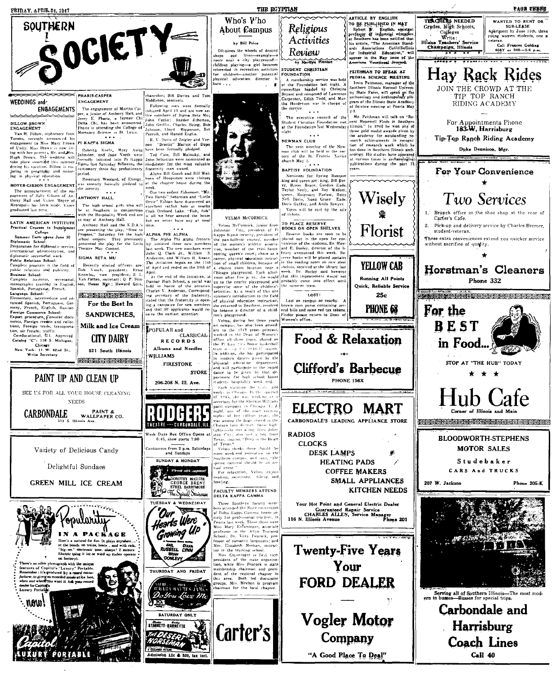